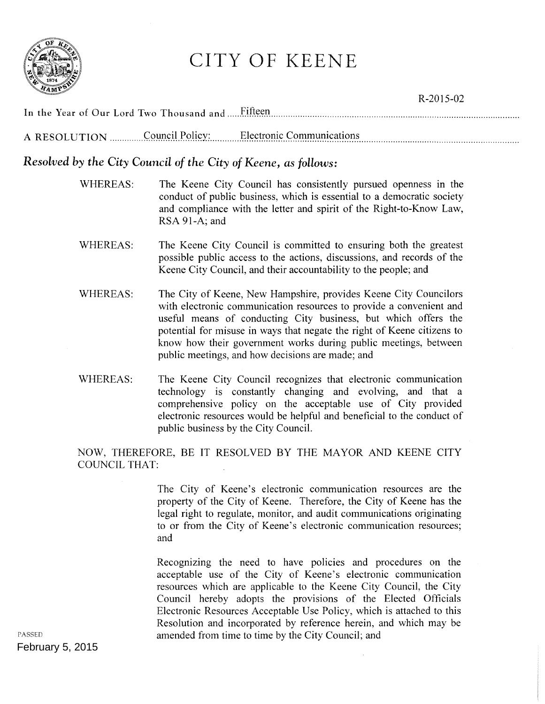

# CITY OF KEENE

|  | R-2015-02                                              |  |
|--|--------------------------------------------------------|--|
|  |                                                        |  |
|  | A RESOLUTION Council Policy: Electronic Communications |  |

## *Resolved by the City Council of the City of Keene, as follows:*

- WHEREAS: The Keene City Council has consistently pursued openness in the conduct of public business, which is essential to a democratic society and compliance with the letter and spirit of the Right-to-Know Law, RSA 91-A; and
- WHEREAS: The Keene City Council is committed to ensuring both the greatest possible public access to the actions, discussions, and records of the Keene City Council, and their accountability to the people; and
- WHEREAS: The City of Keene, New Hampshire, provides Keene City Councilors with electronic communication resources to provide a convenient and useful means of conducting City business, but which offers the potential for misuse in ways that negate the right of Keene citizens to know how their government works during public meetings, between public meetings, and how decisions are made; and
- WHEREAS: The Keene City Council recognizes that electronic communication technology is constantly changing and evolving, and that a comprehensive policy on the acceptable use of City provided electronic resources would be helpful and beneficial to the conduct of public business by the City Council.

NOW, THEREFORE, BE IT RESOLVED BY THE MAYOR AND KEENE CITY COUNCIL THAT:

> The City of Keene's electronic communication resources are the property of the City of Keene. Therefore, the City of Keene has the legal right to regulate, monitor, and audit communications originating to or from the City of Keene's electronic communication resources; and

> Recognizing the need to have policies and procedures on the acceptable use of the City of Keene's electronic communication resources which are applicable to the Keene City Council, the City Council hereby adopts the provisions of the Elected Officials Electronic Resources Acceptable Use Policy, which is attached to this Resolution and incorporated by reference herein, and which may be amended from time to time by the City Council; and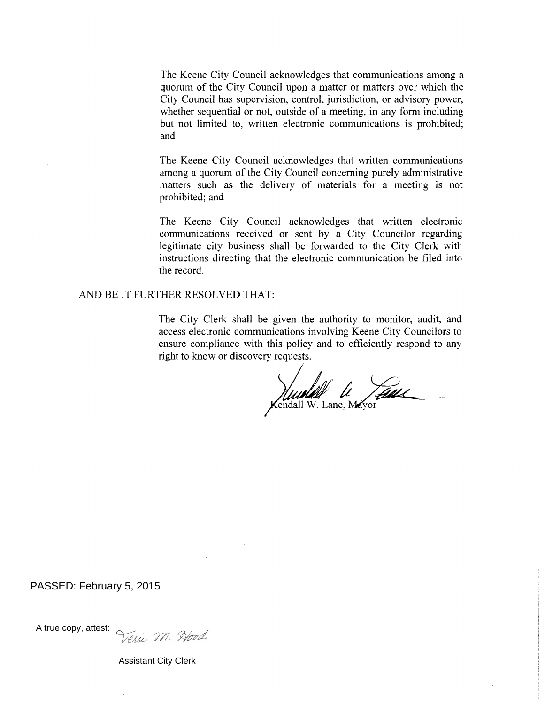The Keene City Council acknowledges that communications among a quorum of the City Council upon a matter or matters over which the City Council has supervision, control, jurisdiction, or advisory power, whether sequential or not, outside of a meeting, in any form including but not limited to, written electronic communications is prohibited; and

The Keene City Council acknowledges that written communications among a quorum of the City Council concerning purely administrative matters such as the delivery of materials for a meeting is not prohibited; and

The Keene City Council acknowledges that written electronic communications received or sent by a City Councilor regarding legitimate city business shall be forwarded to the City Clerk with instructions directing that the electronic communication be filed into the record.

#### AND BE IT FURTHER RESOLVED THAT:

The City Clerk shall be given the authority to monitor, audit, and access electronic communications involving Keene City Councilors to ensure compliance with this policy and to efficiently respond to any right to know or discovery requests.

Wurld Le Laue

#### PASSED: February 5, 2015

A true copy, attest:<br>Veri VII. Prod

Assistant City Clerk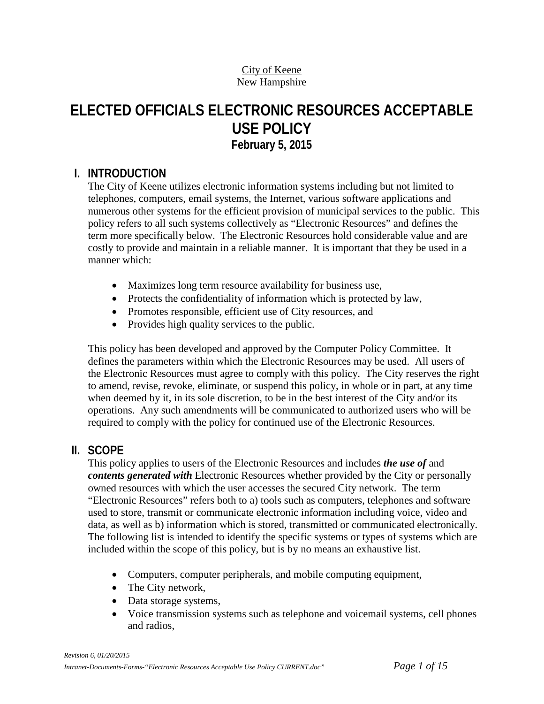#### City of Keene New Hampshire

# **ELECTED OFFICIALS ELECTRONIC RESOURCES ACCEPTABLE USE POLICY February 5, 2015**

## **I. INTRODUCTION**

The City of Keene utilizes electronic information systems including but not limited to telephones, computers, email systems, the Internet, various software applications and numerous other systems for the efficient provision of municipal services to the public. This policy refers to all such systems collectively as "Electronic Resources" and defines the term more specifically below. The Electronic Resources hold considerable value and are costly to provide and maintain in a reliable manner. It is important that they be used in a manner which:

- Maximizes long term resource availability for business use,
- Protects the confidentiality of information which is protected by law,
- Promotes responsible, efficient use of City resources, and
- Provides high quality services to the public.

This policy has been developed and approved by the Computer Policy Committee. It defines the parameters within which the Electronic Resources may be used. All users of the Electronic Resources must agree to comply with this policy. The City reserves the right to amend, revise, revoke, eliminate, or suspend this policy, in whole or in part, at any time when deemed by it, in its sole discretion, to be in the best interest of the City and/or its operations. Any such amendments will be communicated to authorized users who will be required to comply with the policy for continued use of the Electronic Resources.

## **II. SCOPE**

This policy applies to users of the Electronic Resources and includes *the use of* and *contents generated with* Electronic Resources whether provided by the City or personally owned resources with which the user accesses the secured City network. The term "Electronic Resources" refers both to a) tools such as computers, telephones and software used to store, transmit or communicate electronic information including voice, video and data, as well as b) information which is stored, transmitted or communicated electronically. The following list is intended to identify the specific systems or types of systems which are included within the scope of this policy, but is by no means an exhaustive list.

- Computers, computer peripherals, and mobile computing equipment,
- The City network,
- Data storage systems,
- Voice transmission systems such as telephone and voicemail systems, cell phones and radios,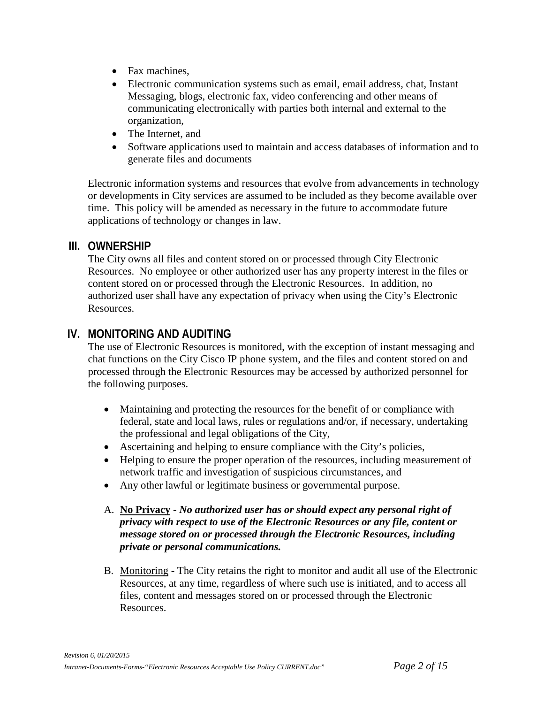- Fax machines,
- Electronic communication systems such as email, email address, chat, Instant Messaging, blogs, electronic fax, video conferencing and other means of communicating electronically with parties both internal and external to the organization,
- The Internet, and
- Software applications used to maintain and access databases of information and to generate files and documents

Electronic information systems and resources that evolve from advancements in technology or developments in City services are assumed to be included as they become available over time. This policy will be amended as necessary in the future to accommodate future applications of technology or changes in law.

### **III. OWNERSHIP**

The City owns all files and content stored on or processed through City Electronic Resources. No employee or other authorized user has any property interest in the files or content stored on or processed through the Electronic Resources. In addition, no authorized user shall have any expectation of privacy when using the City's Electronic Resources.

## **IV. MONITORING AND AUDITING**

The use of Electronic Resources is monitored, with the exception of instant messaging and chat functions on the City Cisco IP phone system, and the files and content stored on and processed through the Electronic Resources may be accessed by authorized personnel for the following purposes.

- Maintaining and protecting the resources for the benefit of or compliance with federal, state and local laws, rules or regulations and/or, if necessary, undertaking the professional and legal obligations of the City,
- Ascertaining and helping to ensure compliance with the City's policies,
- Helping to ensure the proper operation of the resources, including measurement of network traffic and investigation of suspicious circumstances, and
- Any other lawful or legitimate business or governmental purpose.

#### A. **No Privacy** - *No authorized user has or should expect any personal right of privacy with respect to use of the Electronic Resources or any file, content or message stored on or processed through the Electronic Resources, including private or personal communications.*

B. Monitoring - The City retains the right to monitor and audit all use of the Electronic Resources, at any time, regardless of where such use is initiated, and to access all files, content and messages stored on or processed through the Electronic Resources.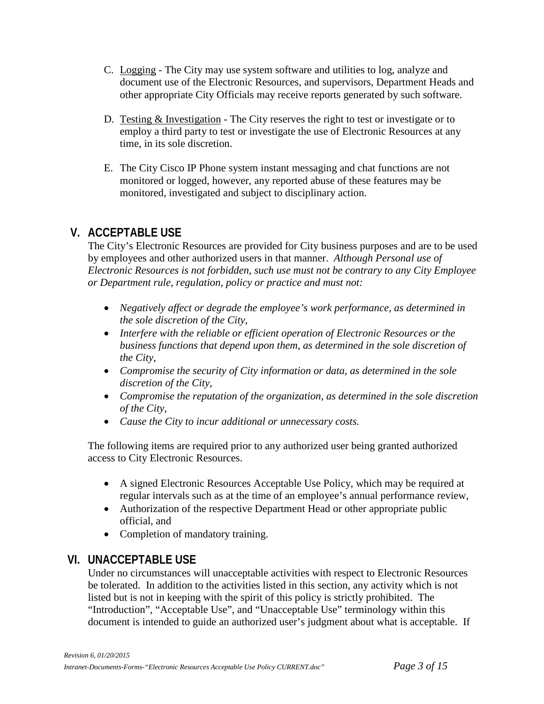- C. Logging The City may use system software and utilities to log, analyze and document use of the Electronic Resources, and supervisors, Department Heads and other appropriate City Officials may receive reports generated by such software.
- D. Testing & Investigation The City reserves the right to test or investigate or to employ a third party to test or investigate the use of Electronic Resources at any time, in its sole discretion.
- E. The City Cisco IP Phone system instant messaging and chat functions are not monitored or logged, however, any reported abuse of these features may be monitored, investigated and subject to disciplinary action.

## **V. ACCEPTABLE USE**

The City's Electronic Resources are provided for City business purposes and are to be used by employees and other authorized users in that manner. *Although Personal use of Electronic Resources is not forbidden, such use must not be contrary to any City Employee or Department rule, regulation, policy or practice and must not:*

- *Negatively affect or degrade the employee's work performance, as determined in the sole discretion of the City,*
- *Interfere with the reliable or efficient operation of Electronic Resources or the business functions that depend upon them, as determined in the sole discretion of the City,*
- *Compromise the security of City information or data, as determined in the sole discretion of the City,*
- *Compromise the reputation of the organization, as determined in the sole discretion of the City,*
- *Cause the City to incur additional or unnecessary costs.*

The following items are required prior to any authorized user being granted authorized access to City Electronic Resources.

- A signed Electronic Resources Acceptable Use Policy, which may be required at regular intervals such as at the time of an employee's annual performance review,
- Authorization of the respective Department Head or other appropriate public official, and
- Completion of mandatory training.

## **VI. UNACCEPTABLE USE**

Under no circumstances will unacceptable activities with respect to Electronic Resources be tolerated. In addition to the activities listed in this section, any activity which is not listed but is not in keeping with the spirit of this policy is strictly prohibited. The "Introduction", "Acceptable Use", and "Unacceptable Use" terminology within this document is intended to guide an authorized user's judgment about what is acceptable. If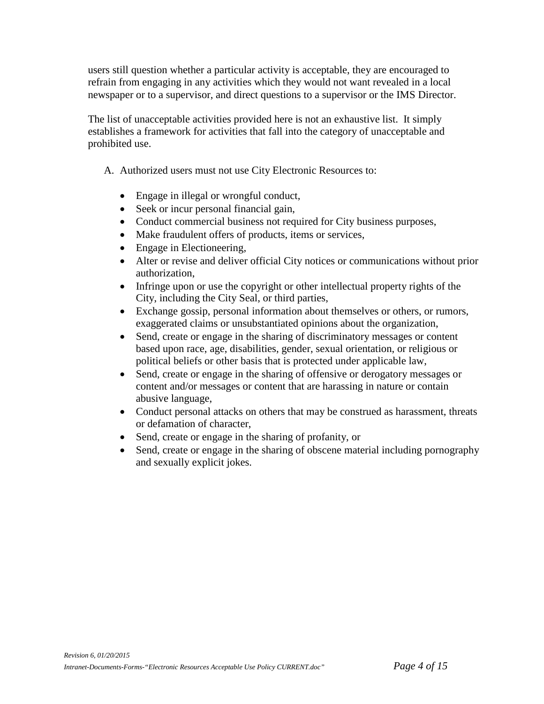users still question whether a particular activity is acceptable, they are encouraged to refrain from engaging in any activities which they would not want revealed in a local newspaper or to a supervisor, and direct questions to a supervisor or the IMS Director.

The list of unacceptable activities provided here is not an exhaustive list. It simply establishes a framework for activities that fall into the category of unacceptable and prohibited use.

- A. Authorized users must not use City Electronic Resources to:
	- Engage in illegal or wrongful conduct,
	- Seek or incur personal financial gain,
	- Conduct commercial business not required for City business purposes,
	- Make fraudulent offers of products, items or services,
	- Engage in Electioneering,
	- Alter or revise and deliver official City notices or communications without prior authorization,
	- Infringe upon or use the copyright or other intellectual property rights of the City, including the City Seal, or third parties,
	- Exchange gossip, personal information about themselves or others, or rumors, exaggerated claims or unsubstantiated opinions about the organization,
	- Send, create or engage in the sharing of discriminatory messages or content based upon race, age, disabilities, gender, sexual orientation, or religious or political beliefs or other basis that is protected under applicable law,
	- Send, create or engage in the sharing of offensive or derogatory messages or content and/or messages or content that are harassing in nature or contain abusive language,
	- Conduct personal attacks on others that may be construed as harassment, threats or defamation of character,
	- Send, create or engage in the sharing of profanity, or
	- Send, create or engage in the sharing of obscene material including pornography and sexually explicit jokes.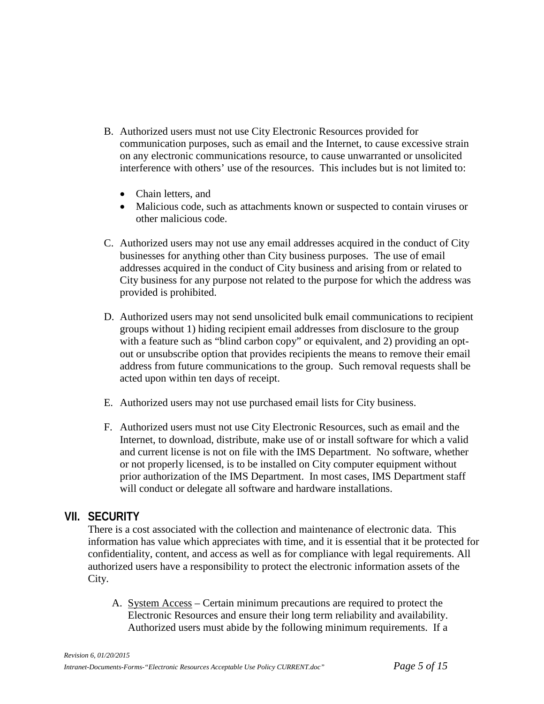- B. Authorized users must not use City Electronic Resources provided for communication purposes, such as email and the Internet, to cause excessive strain on any electronic communications resource, to cause unwarranted or unsolicited interference with others' use of the resources. This includes but is not limited to:
	- Chain letters, and
	- Malicious code, such as attachments known or suspected to contain viruses or other malicious code.
- C. Authorized users may not use any email addresses acquired in the conduct of City businesses for anything other than City business purposes. The use of email addresses acquired in the conduct of City business and arising from or related to City business for any purpose not related to the purpose for which the address was provided is prohibited.
- D. Authorized users may not send unsolicited bulk email communications to recipient groups without 1) hiding recipient email addresses from disclosure to the group with a feature such as "blind carbon copy" or equivalent, and 2) providing an optout or unsubscribe option that provides recipients the means to remove their email address from future communications to the group. Such removal requests shall be acted upon within ten days of receipt.
- E. Authorized users may not use purchased email lists for City business.
- F. Authorized users must not use City Electronic Resources, such as email and the Internet, to download, distribute, make use of or install software for which a valid and current license is not on file with the IMS Department. No software, whether or not properly licensed, is to be installed on City computer equipment without prior authorization of the IMS Department. In most cases, IMS Department staff will conduct or delegate all software and hardware installations.

#### **VII. SECURITY**

There is a cost associated with the collection and maintenance of electronic data. This information has value which appreciates with time, and it is essential that it be protected for confidentiality, content, and access as well as for compliance with legal requirements. All authorized users have a responsibility to protect the electronic information assets of the City.

A. System Access – Certain minimum precautions are required to protect the Electronic Resources and ensure their long term reliability and availability. Authorized users must abide by the following minimum requirements. If a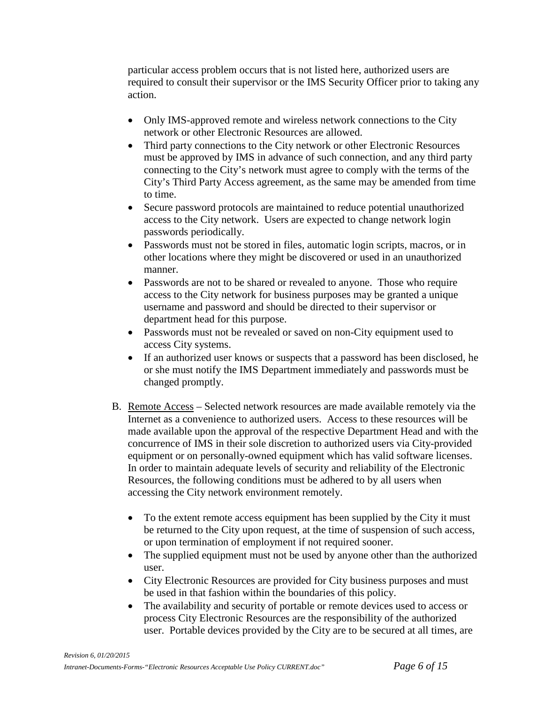particular access problem occurs that is not listed here, authorized users are required to consult their supervisor or the IMS Security Officer prior to taking any action.

- Only IMS-approved remote and wireless network connections to the City network or other Electronic Resources are allowed.
- Third party connections to the City network or other Electronic Resources must be approved by IMS in advance of such connection, and any third party connecting to the City's network must agree to comply with the terms of the City's Third Party Access agreement, as the same may be amended from time to time.
- Secure password protocols are maintained to reduce potential unauthorized access to the City network. Users are expected to change network login passwords periodically.
- Passwords must not be stored in files, automatic login scripts, macros, or in other locations where they might be discovered or used in an unauthorized manner.
- Passwords are not to be shared or revealed to anyone. Those who require access to the City network for business purposes may be granted a unique username and password and should be directed to their supervisor or department head for this purpose.
- Passwords must not be revealed or saved on non-City equipment used to access City systems.
- If an authorized user knows or suspects that a password has been disclosed, he or she must notify the IMS Department immediately and passwords must be changed promptly.
- B. Remote Access Selected network resources are made available remotely via the Internet as a convenience to authorized users. Access to these resources will be made available upon the approval of the respective Department Head and with the concurrence of IMS in their sole discretion to authorized users via City-provided equipment or on personally-owned equipment which has valid software licenses. In order to maintain adequate levels of security and reliability of the Electronic Resources, the following conditions must be adhered to by all users when accessing the City network environment remotely.
	- To the extent remote access equipment has been supplied by the City it must be returned to the City upon request, at the time of suspension of such access, or upon termination of employment if not required sooner.
	- The supplied equipment must not be used by anyone other than the authorized user.
	- City Electronic Resources are provided for City business purposes and must be used in that fashion within the boundaries of this policy.
	- The availability and security of portable or remote devices used to access or process City Electronic Resources are the responsibility of the authorized user. Portable devices provided by the City are to be secured at all times, are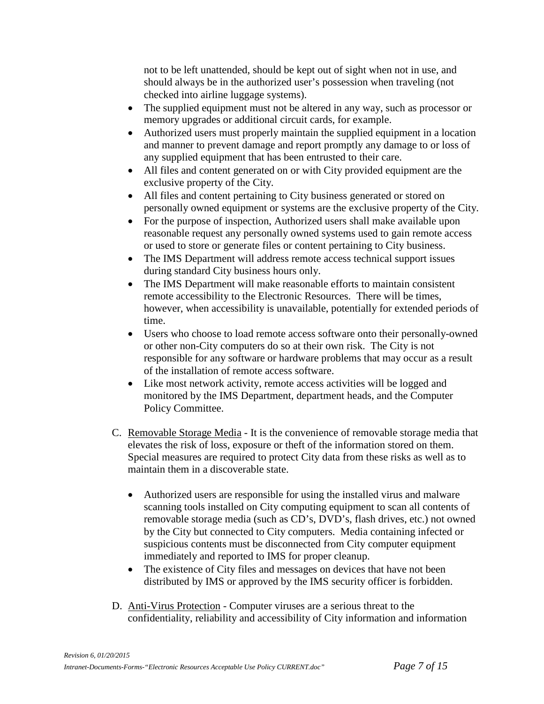not to be left unattended, should be kept out of sight when not in use, and should always be in the authorized user's possession when traveling (not checked into airline luggage systems).

- The supplied equipment must not be altered in any way, such as processor or memory upgrades or additional circuit cards, for example.
- Authorized users must properly maintain the supplied equipment in a location and manner to prevent damage and report promptly any damage to or loss of any supplied equipment that has been entrusted to their care.
- All files and content generated on or with City provided equipment are the exclusive property of the City.
- All files and content pertaining to City business generated or stored on personally owned equipment or systems are the exclusive property of the City.
- For the purpose of inspection, Authorized users shall make available upon reasonable request any personally owned systems used to gain remote access or used to store or generate files or content pertaining to City business.
- The IMS Department will address remote access technical support issues during standard City business hours only.
- The IMS Department will make reasonable efforts to maintain consistent remote accessibility to the Electronic Resources. There will be times, however, when accessibility is unavailable, potentially for extended periods of time.
- Users who choose to load remote access software onto their personally-owned or other non-City computers do so at their own risk. The City is not responsible for any software or hardware problems that may occur as a result of the installation of remote access software.
- Like most network activity, remote access activities will be logged and monitored by the IMS Department, department heads, and the Computer Policy Committee.
- C. Removable Storage Media It is the convenience of removable storage media that elevates the risk of loss, exposure or theft of the information stored on them. Special measures are required to protect City data from these risks as well as to maintain them in a discoverable state.
	- Authorized users are responsible for using the installed virus and malware scanning tools installed on City computing equipment to scan all contents of removable storage media (such as CD's, DVD's, flash drives, etc.) not owned by the City but connected to City computers. Media containing infected or suspicious contents must be disconnected from City computer equipment immediately and reported to IMS for proper cleanup.
	- The existence of City files and messages on devices that have not been distributed by IMS or approved by the IMS security officer is forbidden.
- D. Anti-Virus Protection Computer viruses are a serious threat to the confidentiality, reliability and accessibility of City information and information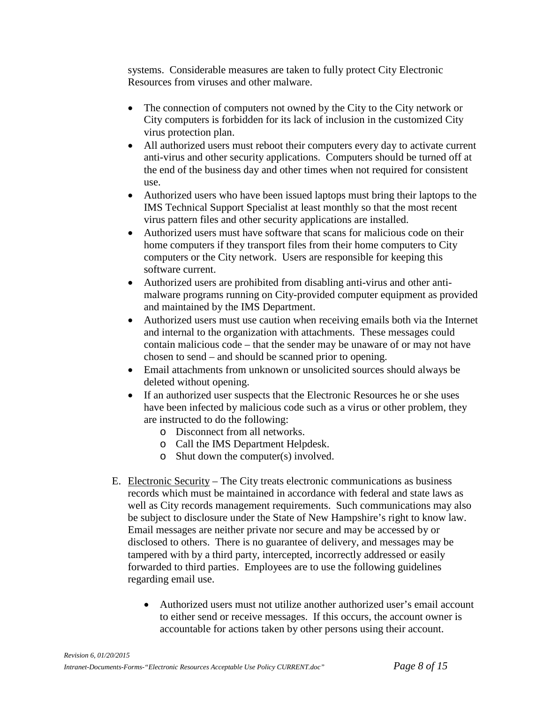systems. Considerable measures are taken to fully protect City Electronic Resources from viruses and other malware.

- The connection of computers not owned by the City to the City network or City computers is forbidden for its lack of inclusion in the customized City virus protection plan.
- All authorized users must reboot their computers every day to activate current anti-virus and other security applications. Computers should be turned off at the end of the business day and other times when not required for consistent use.
- Authorized users who have been issued laptops must bring their laptops to the IMS Technical Support Specialist at least monthly so that the most recent virus pattern files and other security applications are installed.
- Authorized users must have software that scans for malicious code on their home computers if they transport files from their home computers to City computers or the City network. Users are responsible for keeping this software current.
- Authorized users are prohibited from disabling anti-virus and other antimalware programs running on City-provided computer equipment as provided and maintained by the IMS Department.
- Authorized users must use caution when receiving emails both via the Internet and internal to the organization with attachments. These messages could contain malicious code – that the sender may be unaware of or may not have chosen to send – and should be scanned prior to opening.
- Email attachments from unknown or unsolicited sources should always be deleted without opening.
- If an authorized user suspects that the Electronic Resources he or she uses have been infected by malicious code such as a virus or other problem, they are instructed to do the following:
	- o Disconnect from all networks.
	- o Call the IMS Department Helpdesk.
	- o Shut down the computer(s) involved.
- E. Electronic Security The City treats electronic communications as business records which must be maintained in accordance with federal and state laws as well as City records management requirements. Such communications may also be subject to disclosure under the State of New Hampshire's right to know law. Email messages are neither private nor secure and may be accessed by or disclosed to others. There is no guarantee of delivery, and messages may be tampered with by a third party, intercepted, incorrectly addressed or easily forwarded to third parties. Employees are to use the following guidelines regarding email use.
	- Authorized users must not utilize another authorized user's email account to either send or receive messages. If this occurs, the account owner is accountable for actions taken by other persons using their account.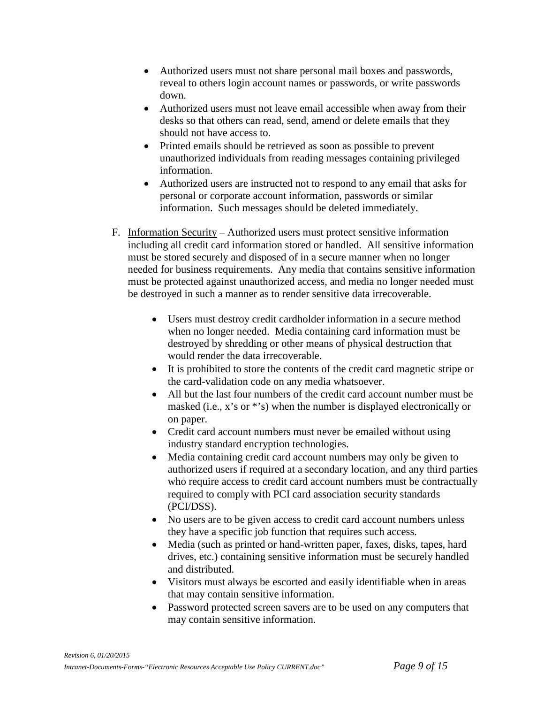- Authorized users must not share personal mail boxes and passwords, reveal to others login account names or passwords, or write passwords down.
- Authorized users must not leave email accessible when away from their desks so that others can read, send, amend or delete emails that they should not have access to.
- Printed emails should be retrieved as soon as possible to prevent unauthorized individuals from reading messages containing privileged information.
- Authorized users are instructed not to respond to any email that asks for personal or corporate account information, passwords or similar information. Such messages should be deleted immediately.
- F. Information Security Authorized users must protect sensitive information including all credit card information stored or handled. All sensitive information must be stored securely and disposed of in a secure manner when no longer needed for business requirements. Any media that contains sensitive information must be protected against unauthorized access, and media no longer needed must be destroyed in such a manner as to render sensitive data irrecoverable.
	- Users must destroy credit cardholder information in a secure method when no longer needed. Media containing card information must be destroyed by shredding or other means of physical destruction that would render the data irrecoverable.
	- It is prohibited to store the contents of the credit card magnetic stripe or the card-validation code on any media whatsoever.
	- All but the last four numbers of the credit card account number must be masked (i.e., x's or \*'s) when the number is displayed electronically or on paper.
	- Credit card account numbers must never be emailed without using industry standard encryption technologies.
	- Media containing credit card account numbers may only be given to authorized users if required at a secondary location, and any third parties who require access to credit card account numbers must be contractually required to comply with PCI card association security standards (PCI/DSS).
	- No users are to be given access to credit card account numbers unless they have a specific job function that requires such access.
	- Media (such as printed or hand-written paper, faxes, disks, tapes, hard drives, etc.) containing sensitive information must be securely handled and distributed.
	- Visitors must always be escorted and easily identifiable when in areas that may contain sensitive information.
	- Password protected screen savers are to be used on any computers that may contain sensitive information.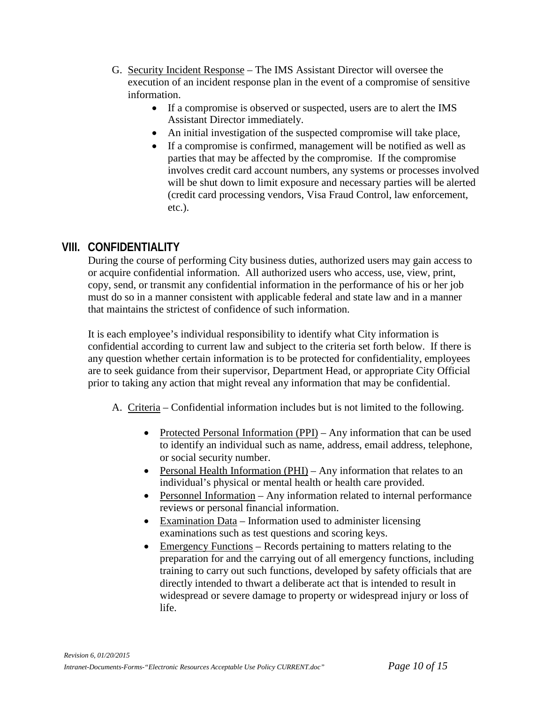- G. Security Incident Response The IMS Assistant Director will oversee the execution of an incident response plan in the event of a compromise of sensitive information.
	- If a compromise is observed or suspected, users are to alert the IMS Assistant Director immediately.
	- An initial investigation of the suspected compromise will take place,
	- If a compromise is confirmed, management will be notified as well as parties that may be affected by the compromise. If the compromise involves credit card account numbers, any systems or processes involved will be shut down to limit exposure and necessary parties will be alerted (credit card processing vendors, Visa Fraud Control, law enforcement, etc.).

## **VIII. CONFIDENTIALITY**

During the course of performing City business duties, authorized users may gain access to or acquire confidential information. All authorized users who access, use, view, print, copy, send, or transmit any confidential information in the performance of his or her job must do so in a manner consistent with applicable federal and state law and in a manner that maintains the strictest of confidence of such information.

It is each employee's individual responsibility to identify what City information is confidential according to current law and subject to the criteria set forth below. If there is any question whether certain information is to be protected for confidentiality, employees are to seek guidance from their supervisor, Department Head, or appropriate City Official prior to taking any action that might reveal any information that may be confidential.

- A. Criteria Confidential information includes but is not limited to the following.
	- Protected Personal Information (PPI) Any information that can be used to identify an individual such as name, address, email address, telephone, or social security number.
	- Personal Health Information (PHI) Any information that relates to an individual's physical or mental health or health care provided.
	- Personnel Information Any information related to internal performance reviews or personal financial information.
	- Examination Data Information used to administer licensing examinations such as test questions and scoring keys.
	- Emergency Functions Records pertaining to matters relating to the preparation for and the carrying out of all emergency functions, including training to carry out such functions, developed by safety officials that are directly intended to thwart a deliberate act that is intended to result in widespread or severe damage to property or widespread injury or loss of life.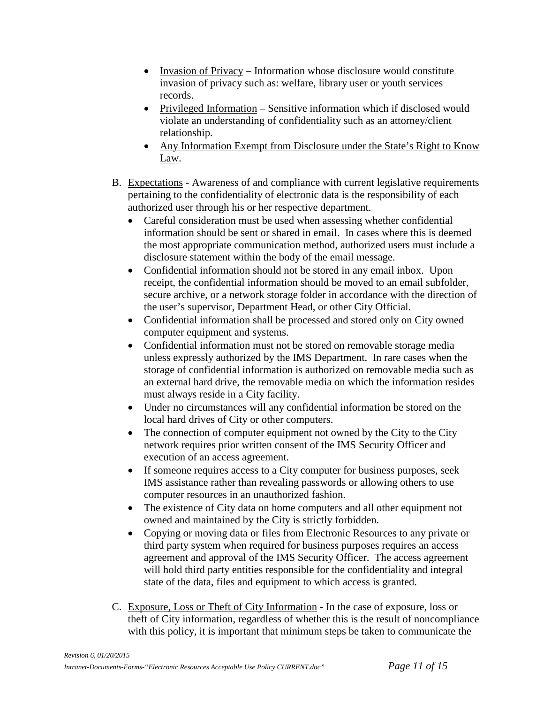- Invasion of Privacy Information whose disclosure would constitute invasion of privacy such as: welfare, library user or youth services records.
- Privileged Information Sensitive information which if disclosed would violate an understanding of confidentiality such as an attorney/client relationship.
- Any Information Exempt from Disclosure under the State's Right to Know Law.
- B. Expectations Awareness of and compliance with current legislative requirements pertaining to the confidentiality of electronic data is the responsibility of each authorized user through his or her respective department.
	- Careful consideration must be used when assessing whether confidential information should be sent or shared in email. In cases where this is deemed the most appropriate communication method, authorized users must include a disclosure statement within the body of the email message.
	- Confidential information should not be stored in any email inbox. Upon receipt, the confidential information should be moved to an email subfolder, secure archive, or a network storage folder in accordance with the direction of the user's supervisor, Department Head, or other City Official.
	- Confidential information shall be processed and stored only on City owned computer equipment and systems.
	- Confidential information must not be stored on removable storage media unless expressly authorized by the IMS Department. In rare cases when the storage of confidential information is authorized on removable media such as an external hard drive, the removable media on which the information resides must always reside in a City facility.
	- Under no circumstances will any confidential information be stored on the local hard drives of City or other computers.
	- The connection of computer equipment not owned by the City to the City network requires prior written consent of the IMS Security Officer and execution of an access agreement.
	- If someone requires access to a City computer for business purposes, seek IMS assistance rather than revealing passwords or allowing others to use computer resources in an unauthorized fashion.
	- The existence of City data on home computers and all other equipment not owned and maintained by the City is strictly forbidden.
	- Copying or moving data or files from Electronic Resources to any private or third party system when required for business purposes requires an access agreement and approval of the IMS Security Officer. The access agreement will hold third party entities responsible for the confidentiality and integral state of the data, files and equipment to which access is granted.
- C. Exposure, Loss or Theft of City Information In the case of exposure, loss or theft of City information, regardless of whether this is the result of noncompliance with this policy, it is important that minimum steps be taken to communicate the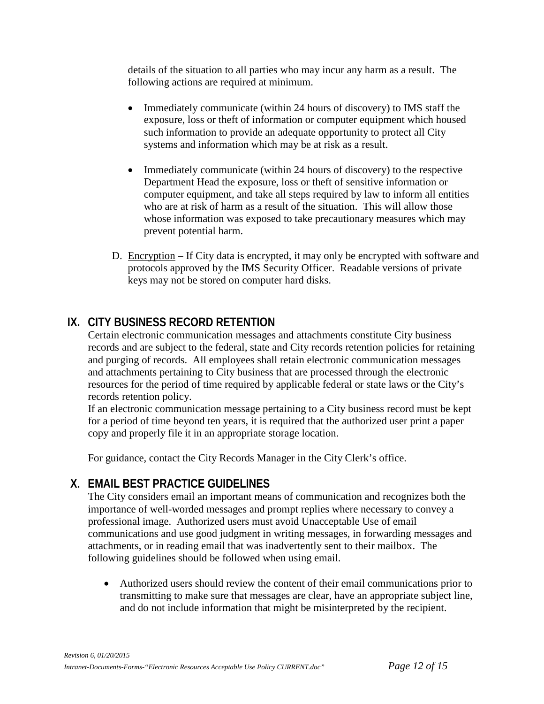details of the situation to all parties who may incur any harm as a result. The following actions are required at minimum.

- Immediately communicate (within 24 hours of discovery) to IMS staff the exposure, loss or theft of information or computer equipment which housed such information to provide an adequate opportunity to protect all City systems and information which may be at risk as a result.
- Immediately communicate (within 24 hours of discovery) to the respective Department Head the exposure, loss or theft of sensitive information or computer equipment, and take all steps required by law to inform all entities who are at risk of harm as a result of the situation. This will allow those whose information was exposed to take precautionary measures which may prevent potential harm.
- D. Encryption If City data is encrypted, it may only be encrypted with software and protocols approved by the IMS Security Officer. Readable versions of private keys may not be stored on computer hard disks.

## **IX. CITY BUSINESS RECORD RETENTION**

Certain electronic communication messages and attachments constitute City business records and are subject to the federal, state and City records retention policies for retaining and purging of records. All employees shall retain electronic communication messages and attachments pertaining to City business that are processed through the electronic resources for the period of time required by applicable federal or state laws or the City's records retention policy.

If an electronic communication message pertaining to a City business record must be kept for a period of time beyond ten years, it is required that the authorized user print a paper copy and properly file it in an appropriate storage location.

For guidance, contact the City Records Manager in the City Clerk's office.

## **X. EMAIL BEST PRACTICE GUIDELINES**

The City considers email an important means of communication and recognizes both the importance of well-worded messages and prompt replies where necessary to convey a professional image. Authorized users must avoid Unacceptable Use of email communications and use good judgment in writing messages, in forwarding messages and attachments, or in reading email that was inadvertently sent to their mailbox. The following guidelines should be followed when using email.

• Authorized users should review the content of their email communications prior to transmitting to make sure that messages are clear, have an appropriate subject line, and do not include information that might be misinterpreted by the recipient.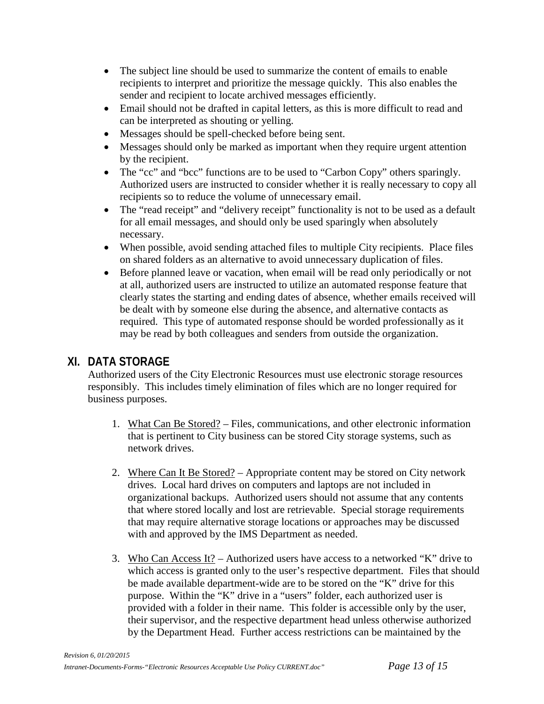- The subject line should be used to summarize the content of emails to enable recipients to interpret and prioritize the message quickly. This also enables the sender and recipient to locate archived messages efficiently.
- Email should not be drafted in capital letters, as this is more difficult to read and can be interpreted as shouting or yelling.
- Messages should be spell-checked before being sent.
- Messages should only be marked as important when they require urgent attention by the recipient.
- The "cc" and "bcc" functions are to be used to "Carbon Copy" others sparingly. Authorized users are instructed to consider whether it is really necessary to copy all recipients so to reduce the volume of unnecessary email.
- The "read receipt" and "delivery receipt" functionality is not to be used as a default for all email messages, and should only be used sparingly when absolutely necessary.
- When possible, avoid sending attached files to multiple City recipients. Place files on shared folders as an alternative to avoid unnecessary duplication of files.
- Before planned leave or vacation, when email will be read only periodically or not at all, authorized users are instructed to utilize an automated response feature that clearly states the starting and ending dates of absence, whether emails received will be dealt with by someone else during the absence, and alternative contacts as required. This type of automated response should be worded professionally as it may be read by both colleagues and senders from outside the organization.

## **XI. DATA STORAGE**

Authorized users of the City Electronic Resources must use electronic storage resources responsibly. This includes timely elimination of files which are no longer required for business purposes.

- 1. What Can Be Stored? Files, communications, and other electronic information that is pertinent to City business can be stored City storage systems, such as network drives.
- 2. Where Can It Be Stored? Appropriate content may be stored on City network drives. Local hard drives on computers and laptops are not included in organizational backups. Authorized users should not assume that any contents that where stored locally and lost are retrievable. Special storage requirements that may require alternative storage locations or approaches may be discussed with and approved by the IMS Department as needed.
- 3. Who Can Access It? Authorized users have access to a networked "K" drive to which access is granted only to the user's respective department. Files that should be made available department-wide are to be stored on the "K" drive for this purpose. Within the "K" drive in a "users" folder, each authorized user is provided with a folder in their name. This folder is accessible only by the user, their supervisor, and the respective department head unless otherwise authorized by the Department Head. Further access restrictions can be maintained by the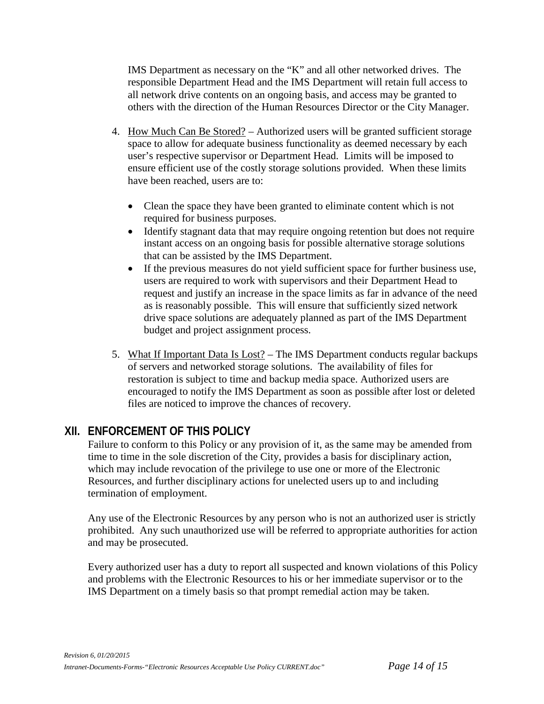IMS Department as necessary on the "K" and all other networked drives. The responsible Department Head and the IMS Department will retain full access to all network drive contents on an ongoing basis, and access may be granted to others with the direction of the Human Resources Director or the City Manager.

- 4. How Much Can Be Stored? Authorized users will be granted sufficient storage space to allow for adequate business functionality as deemed necessary by each user's respective supervisor or Department Head. Limits will be imposed to ensure efficient use of the costly storage solutions provided. When these limits have been reached, users are to:
	- Clean the space they have been granted to eliminate content which is not required for business purposes.
	- Identify stagnant data that may require ongoing retention but does not require instant access on an ongoing basis for possible alternative storage solutions that can be assisted by the IMS Department.
	- If the previous measures do not yield sufficient space for further business use, users are required to work with supervisors and their Department Head to request and justify an increase in the space limits as far in advance of the need as is reasonably possible. This will ensure that sufficiently sized network drive space solutions are adequately planned as part of the IMS Department budget and project assignment process.
- 5. What If Important Data Is Lost? The IMS Department conducts regular backups of servers and networked storage solutions. The availability of files for restoration is subject to time and backup media space. Authorized users are encouraged to notify the IMS Department as soon as possible after lost or deleted files are noticed to improve the chances of recovery.

## **XII. ENFORCEMENT OF THIS POLICY**

Failure to conform to this Policy or any provision of it, as the same may be amended from time to time in the sole discretion of the City, provides a basis for disciplinary action, which may include revocation of the privilege to use one or more of the Electronic Resources, and further disciplinary actions for unelected users up to and including termination of employment.

Any use of the Electronic Resources by any person who is not an authorized user is strictly prohibited. Any such unauthorized use will be referred to appropriate authorities for action and may be prosecuted.

Every authorized user has a duty to report all suspected and known violations of this Policy and problems with the Electronic Resources to his or her immediate supervisor or to the IMS Department on a timely basis so that prompt remedial action may be taken.